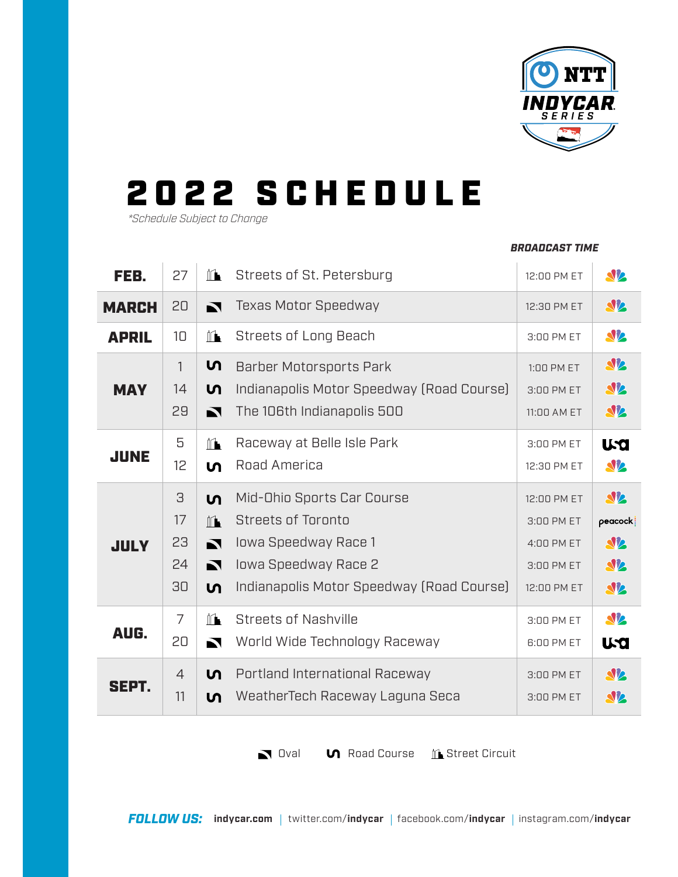

*BROADCAST TIME*

## 2 0 22 S C H E D U L E

*\*Schedule Subject to Change*

## FEB. 27  $\mathbb{R}$  Streets of St. Petersburg 12:00 PM ET **SV** 20 Texas Motor Speedway **SP** MARCH 12:30 PM ET **SV** 10  $\mathbb{L}$ Streets of Long Beach APRIL 3:00 PM ET **SV2** ທ\_ 1 Barber Motorsports Park 1:00 PM ET Indianapolis Motor Speedway (Road Course) **SV** MAY 14 <u>ທ</u> 3:00 PM ET 29 The 106th Indianapolis 500 **SV** M 11:00 AM ET 5 Raceway at Belle Isle Park  $\mathbb{L}$ 3:00 PM ET **USO** JUNE Road America **SV** 12 ທ. 12:30 PM ET 3 Mid-Ohio Sports Car Course **SV** ທ\_ 12:00 PM ET 17 Streets of Toronto  $\mathbb{L}$ 3:00 PM ET  $peacock$ 23 Iowa Speedway Race 1 **SV** 4:00 PM ET **JULY** 24 Iowa Speedway Race 2  $\blacksquare$ 3:00 PM ET  $\mathbf{N}$ 30 Indianapolis Motor Speedway (Road Course) <u>ທ</u> 12:00 PM ET **SV** 7  $\mathbb{M}$ Streets of Nashville **SV** 3:00 PM ET AUG. 20 World Wide Technology Raceway  $\blacksquare$ 6:00 PM ET **U.Q** 4 ທ | Portland International Raceway **SV** 3:00 PM ET SEPT. 11 WeatherTech Raceway Laguna Seca ທ | 3:00 PM ET **SV2**

Oval **O** Road Course **C** Street Circuit